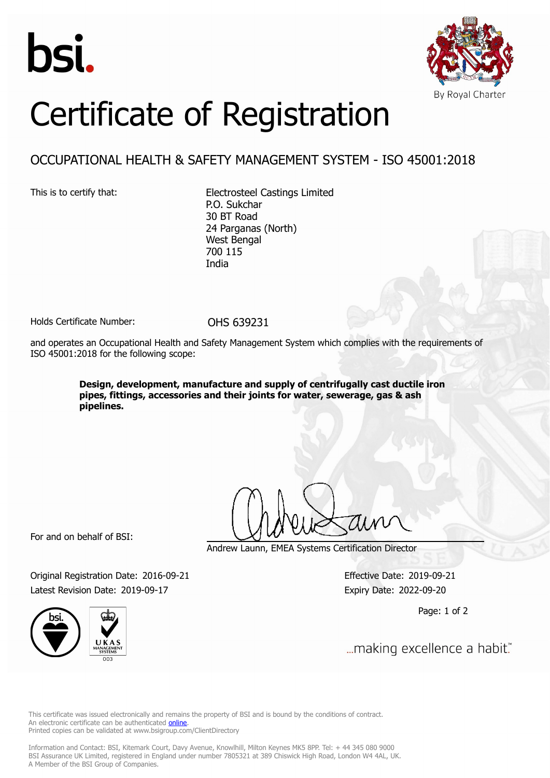



## Certificate of Registration

## OCCUPATIONAL HEALTH & SAFETY MANAGEMENT SYSTEM - ISO 45001:2018

This is to certify that: Electrosteel Castings Limited P.O. Sukchar 30 BT Road 24 Parganas (North) West Bengal 700 115 India

Holds Certificate Number: 0HS 639231

and operates an Occupational Health and Safety Management System which complies with the requirements of ISO 45001:2018 for the following scope:

> **Design, development, manufacture and supply of centrifugally cast ductile iron pipes, fittings, accessories and their joints for water, sewerage, gas & ash pipelines.**

For and on behalf of BSI:

Andrew Launn, EMEA Systems Certification Director

Original Registration Date: 2016-09-21 Effective Date: 2019-09-21 Latest Revision Date: 2019-09-17 Expiry Date: 2022-09-20

Page: 1 of 2



... making excellence a habit."

This certificate was issued electronically and remains the property of BSI and is bound by the conditions of contract. An electronic certificate can be authenticated **[online](https://pgplus.bsigroup.com/CertificateValidation/CertificateValidator.aspx?CertificateNumber=OHS+639231&ReIssueDate=17%2f09%2f2019&Template=uk)**. Printed copies can be validated at www.bsigroup.com/ClientDirectory

Information and Contact: BSI, Kitemark Court, Davy Avenue, Knowlhill, Milton Keynes MK5 8PP. Tel: + 44 345 080 9000 BSI Assurance UK Limited, registered in England under number 7805321 at 389 Chiswick High Road, London W4 4AL, UK. A Member of the BSI Group of Companies.